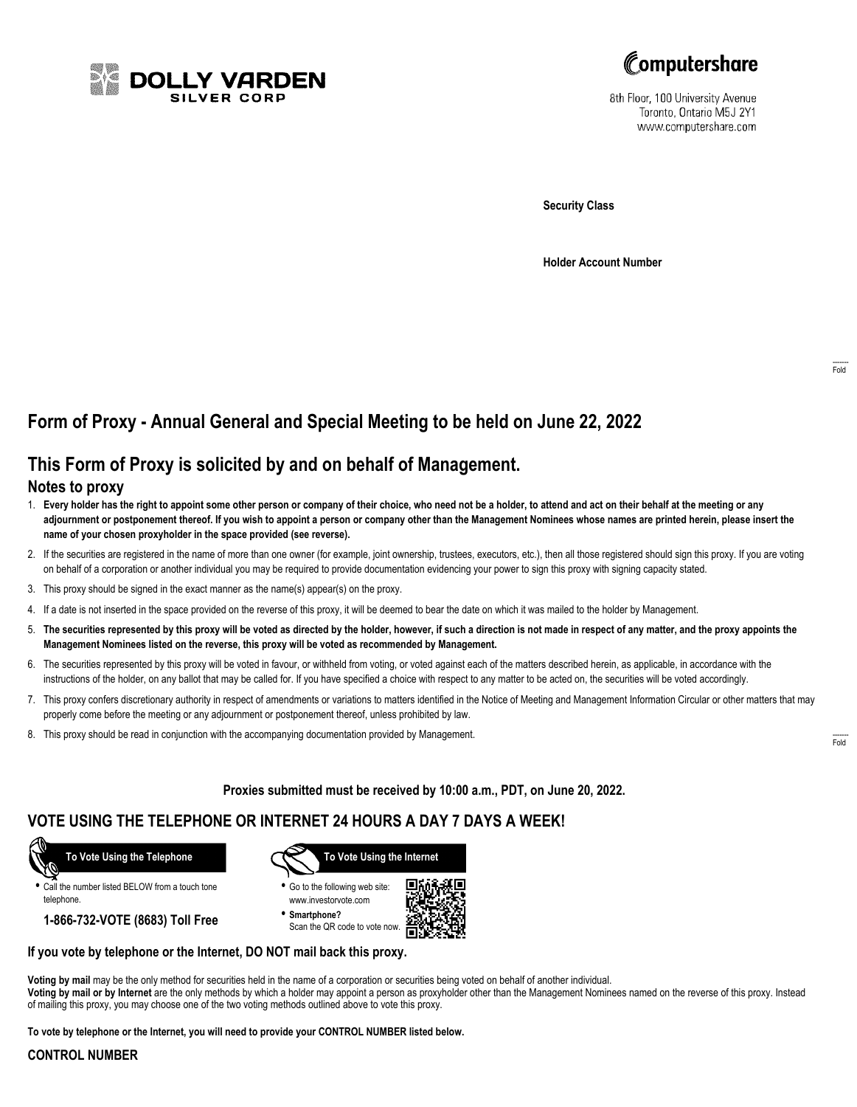



8th Floor, 100 University Avenue Toronto, Ontario M5J 2Y1 www.computershare.com

**Security Class**

**Holder Account Number**

# **Form of Proxy - Annual General and Special Meeting to be held on June 22, 2022**

## **This Form of Proxy is solicited by and on behalf of Management.**

### **Notes to proxy**

- 1. **Every holder has the right to appoint some other person or company of their choice, who need not be a holder, to attend and act on their behalf at the meeting or any adjournment or postponement thereof. If you wish to appoint a person or company other than the Management Nominees whose names are printed herein, please insert the name of your chosen proxyholder in the space provided (see reverse).**
- 2. If the securities are registered in the name of more than one owner (for example, joint ownership, trustees, executors, etc.), then all those registered should sign this proxy. If you are voting on behalf of a corporation or another individual you may be required to provide documentation evidencing your power to sign this proxy with signing capacity stated.
- 3. This proxy should be signed in the exact manner as the name(s) appear(s) on the proxy.
- 4. If a date is not inserted in the space provided on the reverse of this proxy, it will be deemed to bear the date on which it was mailed to the holder by Management.
- 5. **The securities represented by this proxy will be voted as directed by the holder, however, if such a direction is not made in respect of any matter, and the proxy appoints the Management Nominees listed on the reverse, this proxy will be voted as recommended by Management.**
- 6. The securities represented by this proxy will be voted in favour, or withheld from voting, or voted against each of the matters described herein, as applicable, in accordance with the instructions of the holder, on any ballot that may be called for. If you have specified a choice with respect to any matter to be acted on, the securities will be voted accordingly.
- 7. This proxy confers discretionary authority in respect of amendments or variations to matters identified in the Notice of Meeting and Management Information Circular or other matters that may properly come before the meeting or any adjournment or postponement thereof, unless prohibited by law.
- 8. This proxy should be read in conjunction with the accompanying documentation provided by Management.

**Proxies submitted must be received by 10:00 a.m., PDT, on June 20, 2022.**

### **VOTE USING THE TELEPHONE OR INTERNET 24 HOURS A DAY 7 DAYS A WEEK!**



**•** Call the number listed BELOW from a touch tone telephone.

**1-866-732-VOTE (8683) Toll Free**



**•** Go to the following web site: www.investorvote.com

**• Smartphone?** Scan the QR code to vote now.



#### **If you vote by telephone or the Internet, DO NOT mail back this proxy.**

**Voting by mail** may be the only method for securities held in the name of a corporation or securities being voted on behalf of another individual. **Voting by mail or by Internet** are the only methods by which a holder may appoint a person as proxyholder other than the Management Nominees named on the reverse of this proxy. Instead of mailing this proxy, you may choose one of the two voting methods outlined above to vote this proxy.

**To vote by telephone or the Internet, you will need to provide your CONTROL NUMBER listed below.**

#### **CONTROL NUMBER**